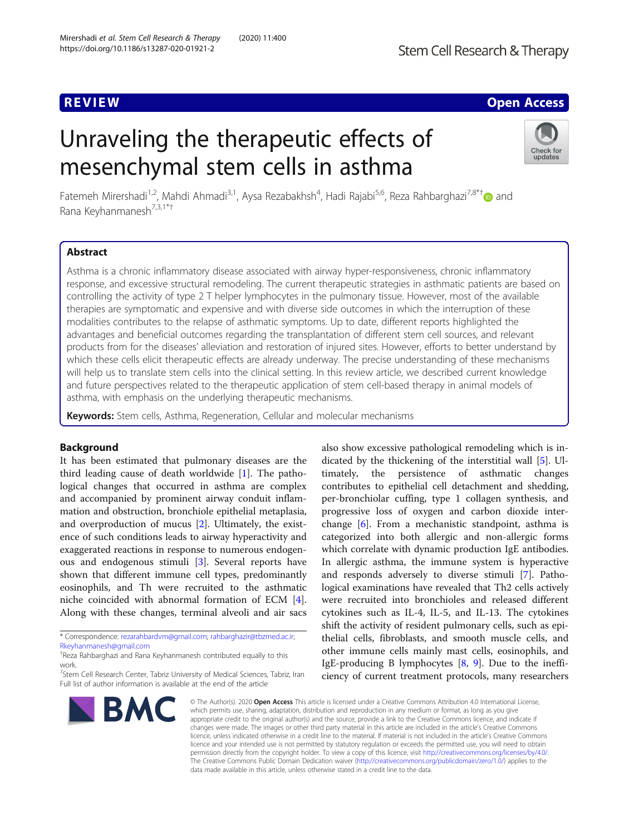## **REVIEW ACCESS AND LOCAL CONTRACT CONTRACT OF ACCESS**

# Unraveling the therapeutic effects of mesenchymal stem cells in asthma



Fatemeh Mirershadi<sup>1,2</sup>, Mahdi Ahmadi<sup>3,1</sup>, Aysa Rezabakhsh<sup>4</sup>, Hadi Rajabi<sup>5,6</sup>, Reza Rahbarghazi<sup>7,8\*†</sup>@ and Rana Keyhanmanesh<sup>7,3,1\*†</sup>

## Abstract

Asthma is a chronic inflammatory disease associated with airway hyper-responsiveness, chronic inflammatory response, and excessive structural remodeling. The current therapeutic strategies in asthmatic patients are based on controlling the activity of type 2 T helper lymphocytes in the pulmonary tissue. However, most of the available therapies are symptomatic and expensive and with diverse side outcomes in which the interruption of these modalities contributes to the relapse of asthmatic symptoms. Up to date, different reports highlighted the advantages and beneficial outcomes regarding the transplantation of different stem cell sources, and relevant products from for the diseases' alleviation and restoration of injured sites. However, efforts to better understand by which these cells elicit therapeutic effects are already underway. The precise understanding of these mechanisms will help us to translate stem cells into the clinical setting. In this review article, we described current knowledge and future perspectives related to the therapeutic application of stem cell-based therapy in animal models of asthma, with emphasis on the underlying therapeutic mechanisms.

Keywords: Stem cells, Asthma, Regeneration, Cellular and molecular mechanisms

## Background

It has been estimated that pulmonary diseases are the third leading cause of death worldwide [\[1\]](#page-8-0). The pathological changes that occurred in asthma are complex and accompanied by prominent airway conduit inflammation and obstruction, bronchiole epithelial metaplasia, and overproduction of mucus [[2](#page-8-0)]. Ultimately, the existence of such conditions leads to airway hyperactivity and exaggerated reactions in response to numerous endogenous and endogenous stimuli [[3\]](#page-8-0). Several reports have shown that different immune cell types, predominantly eosinophils, and Th were recruited to the asthmatic niche coincided with abnormal formation of ECM [\[4](#page-8-0)]. Along with these changes, terminal alveoli and air sacs

\* Correspondence: [rezarahbardvm@gmail.com;](mailto:rezarahbardvm@gmail.com) [rahbarghazir@tbzmed.ac.ir](mailto:rahbarghazir@tbzmed.ac.ir); [Rkeyhanmanesh@gmail.com](mailto:Rkeyhanmanesh@gmail.com)

<sup>7</sup>Stem Cell Research Center, Tabriz University of Medical Sciences, Tabriz, Iran Full list of author information is available at the end of the article



also show excessive pathological remodeling which is indicated by the thickening of the interstitial wall [\[5](#page-8-0)]. Ultimately, the persistence of asthmatic changes contributes to epithelial cell detachment and shedding, per-bronchiolar cuffing, type 1 collagen synthesis, and progressive loss of oxygen and carbon dioxide interchange [[6\]](#page-8-0). From a mechanistic standpoint, asthma is categorized into both allergic and non-allergic forms which correlate with dynamic production IgE antibodies. In allergic asthma, the immune system is hyperactive and responds adversely to diverse stimuli [[7\]](#page-8-0). Pathological examinations have revealed that Th2 cells actively were recruited into bronchioles and released different cytokines such as IL-4, IL-5, and IL-13. The cytokines shift the activity of resident pulmonary cells, such as epithelial cells, fibroblasts, and smooth muscle cells, and other immune cells mainly mast cells, eosinophils, and IgE-producing B lymphocytes [[8,](#page-8-0) [9](#page-8-0)]. Due to the inefficiency of current treatment protocols, many researchers

© The Author(s), 2020 **Open Access** This article is licensed under a Creative Commons Attribution 4.0 International License, which permits use, sharing, adaptation, distribution and reproduction in any medium or format, as long as you give appropriate credit to the original author(s) and the source, provide a link to the Creative Commons licence, and indicate if changes were made. The images or other third party material in this article are included in the article's Creative Commons licence, unless indicated otherwise in a credit line to the material. If material is not included in the article's Creative Commons licence and your intended use is not permitted by statutory regulation or exceeds the permitted use, you will need to obtain permission directly from the copyright holder. To view a copy of this licence, visit [http://creativecommons.org/licenses/by/4.0/.](http://creativecommons.org/licenses/by/4.0/) The Creative Commons Public Domain Dedication waiver [\(http://creativecommons.org/publicdomain/zero/1.0/](http://creativecommons.org/publicdomain/zero/1.0/)) applies to the data made available in this article, unless otherwise stated in a credit line to the data.

<sup>†</sup> Reza Rahbarghazi and Rana Keyhanmanesh contributed equally to this work.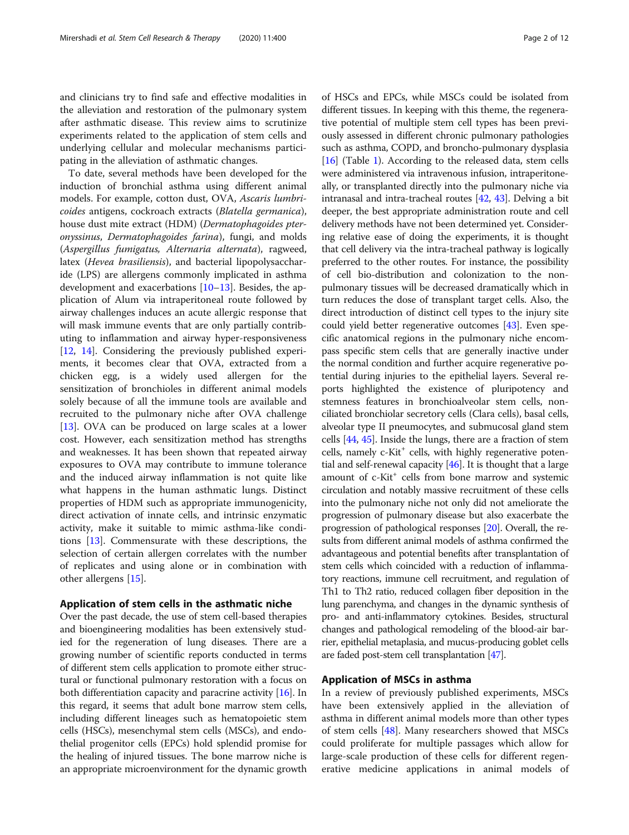and clinicians try to find safe and effective modalities in the alleviation and restoration of the pulmonary system after asthmatic disease. This review aims to scrutinize experiments related to the application of stem cells and underlying cellular and molecular mechanisms participating in the alleviation of asthmatic changes.

To date, several methods have been developed for the induction of bronchial asthma using different animal models. For example, cotton dust, OVA, Ascaris lumbricoides antigens, cockroach extracts (Blatella germanica), house dust mite extract (HDM) (Dermatophagoides pteronyssinus, Dermatophagoides farina), fungi, and molds (Aspergillus fumigatus, Alternaria alternata), ragweed, latex (Hevea brasiliensis), and bacterial lipopolysaccharide (LPS) are allergens commonly implicated in asthma development and exacerbations [\[10](#page-8-0)–[13\]](#page-8-0). Besides, the application of Alum via intraperitoneal route followed by airway challenges induces an acute allergic response that will mask immune events that are only partially contributing to inflammation and airway hyper-responsiveness [[12,](#page-8-0) [14\]](#page-9-0). Considering the previously published experiments, it becomes clear that OVA, extracted from a chicken egg, is a widely used allergen for the sensitization of bronchioles in different animal models solely because of all the immune tools are available and recruited to the pulmonary niche after OVA challenge [[13\]](#page-8-0). OVA can be produced on large scales at a lower cost. However, each sensitization method has strengths and weaknesses. It has been shown that repeated airway exposures to OVA may contribute to immune tolerance and the induced airway inflammation is not quite like what happens in the human asthmatic lungs. Distinct properties of HDM such as appropriate immunogenicity, direct activation of innate cells, and intrinsic enzymatic activity, make it suitable to mimic asthma-like conditions [[13\]](#page-8-0). Commensurate with these descriptions, the selection of certain allergen correlates with the number of replicates and using alone or in combination with other allergens [\[15](#page-9-0)].

### Application of stem cells in the asthmatic niche

Over the past decade, the use of stem cell-based therapies and bioengineering modalities has been extensively studied for the regeneration of lung diseases. There are a growing number of scientific reports conducted in terms of different stem cells application to promote either structural or functional pulmonary restoration with a focus on both differentiation capacity and paracrine activity [\[16\]](#page-9-0). In this regard, it seems that adult bone marrow stem cells, including different lineages such as hematopoietic stem cells (HSCs), mesenchymal stem cells (MSCs), and endothelial progenitor cells (EPCs) hold splendid promise for the healing of injured tissues. The bone marrow niche is an appropriate microenvironment for the dynamic growth of HSCs and EPCs, while MSCs could be isolated from different tissues. In keeping with this theme, the regenerative potential of multiple stem cell types has been previously assessed in different chronic pulmonary pathologies such as asthma, COPD, and broncho-pulmonary dysplasia [[16](#page-9-0)] (Table [1](#page-2-0)). According to the released data, stem cells were administered via intravenous infusion, intraperitoneally, or transplanted directly into the pulmonary niche via intranasal and intra-tracheal routes [\[42](#page-9-0), [43\]](#page-9-0). Delving a bit deeper, the best appropriate administration route and cell delivery methods have not been determined yet. Considering relative ease of doing the experiments, it is thought that cell delivery via the intra-tracheal pathway is logically preferred to the other routes. For instance, the possibility of cell bio-distribution and colonization to the nonpulmonary tissues will be decreased dramatically which in turn reduces the dose of transplant target cells. Also, the direct introduction of distinct cell types to the injury site could yield better regenerative outcomes [[43](#page-9-0)]. Even specific anatomical regions in the pulmonary niche encompass specific stem cells that are generally inactive under the normal condition and further acquire regenerative potential during injuries to the epithelial layers. Several reports highlighted the existence of pluripotency and stemness features in bronchioalveolar stem cells, nonciliated bronchiolar secretory cells (Clara cells), basal cells, alveolar type II pneumocytes, and submucosal gland stem cells [\[44,](#page-9-0) [45](#page-9-0)]. Inside the lungs, there are a fraction of stem  $cells, namely c-Kit<sup>+</sup> cells, with highly regenerative poten$ tial and self-renewal capacity [\[46\]](#page-9-0). It is thought that a large amount of c-Kit<sup>+</sup> cells from bone marrow and systemic circulation and notably massive recruitment of these cells into the pulmonary niche not only did not ameliorate the progression of pulmonary disease but also exacerbate the progression of pathological responses [\[20\]](#page-9-0). Overall, the results from different animal models of asthma confirmed the advantageous and potential benefits after transplantation of stem cells which coincided with a reduction of inflammatory reactions, immune cell recruitment, and regulation of Th1 to Th2 ratio, reduced collagen fiber deposition in the lung parenchyma, and changes in the dynamic synthesis of pro- and anti-inflammatory cytokines. Besides, structural changes and pathological remodeling of the blood-air barrier, epithelial metaplasia, and mucus-producing goblet cells are faded post-stem cell transplantation [[47](#page-9-0)].

## Application of MSCs in asthma

In a review of previously published experiments, MSCs have been extensively applied in the alleviation of asthma in different animal models more than other types of stem cells [\[48](#page-9-0)]. Many researchers showed that MSCs could proliferate for multiple passages which allow for large-scale production of these cells for different regenerative medicine applications in animal models of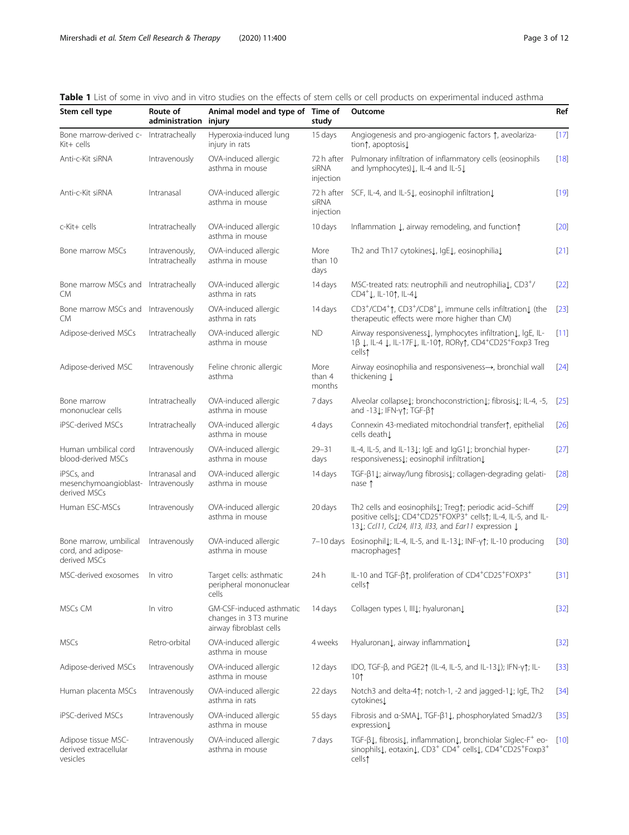<span id="page-2-0"></span>Table 1 List of some in vivo and in vitro studies on the effects of stem cells or cell products on experimental induced asthma

| Stem cell type                                                    | Route of<br>administration        | Animal model and type of Time of<br>injury                                   | study                            | Outcome                                                                                                                                                                                                                | Ref    |
|-------------------------------------------------------------------|-----------------------------------|------------------------------------------------------------------------------|----------------------------------|------------------------------------------------------------------------------------------------------------------------------------------------------------------------------------------------------------------------|--------|
| Bone marrow-derived c-<br>Kit+ cells                              | Intratracheally                   | Hyperoxia-induced lung<br>injury in rats                                     | 15 days                          | Angiogenesis and pro-angiogenic factors 1, aveolariza-<br>tion1, apoptosis                                                                                                                                             | $[17]$ |
| Anti-c-Kit siRNA                                                  | Intravenously                     | OVA-induced allergic<br>asthma in mouse                                      | 72 h after<br>siRNA<br>injection | Pulmonary infiltration of inflammatory cells (eosinophils<br>and lymphocytes) L, IL-4 and IL-5 L                                                                                                                       | $[18]$ |
| Anti-c-Kit siRNA                                                  | Intranasal                        | OVA-induced allergic<br>asthma in mouse                                      | 72 h after<br>siRNA<br>injection | SCF, IL-4, and IL-51, eosinophil infiltration1                                                                                                                                                                         | $[19]$ |
| c-Kit+ cells                                                      | Intratracheally                   | OVA-induced allergic<br>asthma in mouse                                      | 10 days                          | Inflammation L, airway remodeling, and function                                                                                                                                                                        | $[20]$ |
| Bone marrow MSCs                                                  | Intravenously,<br>Intratracheally | OVA-induced allergic<br>asthma in mouse                                      | More<br>than 10<br>days          | Th2 and Th17 cytokines L, IgE L, eosinophilia L                                                                                                                                                                        | $[21]$ |
| Bone marrow MSCs and<br>CM                                        | Intratracheally                   | OVA-induced allergic<br>asthma in rats                                       | 14 days                          | MSC-treated rats: neutrophili and neutrophilial, CD3+/<br>CD4 <sup>+</sup> ↓, IL-10↑, IL-4↓                                                                                                                            | $[22]$ |
| Bone marrow MSCs and Intravenously<br>CM                          |                                   | OVA-induced allergic<br>asthma in rats                                       | 14 days                          | CD3+/CD4+1, CD3+/CD8+1, immune cells infiltration1 (the<br>therapeutic effects were more higher than CM)                                                                                                               | $[23]$ |
| Adipose-derived MSCs                                              | Intratracheally                   | OVA-induced allergic<br>asthma in mouse                                      | <b>ND</b>                        | Airway responsiveness1, lymphocytes infiltration1, lgE, IL-<br>1β ↓, IL-4 ↓, IL-17F↓, IL-10↑, RORy↑, CD4 <sup>+</sup> CD25 <sup>+</sup> Foxp3 Treg<br>cells†                                                           | $[11]$ |
| Adipose-derived MSC                                               | Intravenously                     | Feline chronic allergic<br>asthma                                            | More<br>than 4<br>months         | Airway eosinophilia and responsiveness ->, bronchial wall<br>thickening $\downarrow$                                                                                                                                   | $[24]$ |
| Bone marrow<br>mononuclear cells                                  | Intratracheally                   | OVA-induced allergic<br>asthma in mouse                                      | 7 days                           | Alveolar collapsel; bronchoconstrictionl; fibrosisl; IL-4, -5,<br>and -131; IFN-γ↑; TGF-β↑                                                                                                                             | $[25]$ |
| iPSC-derived MSCs                                                 | Intratracheally                   | OVA-induced allergic<br>asthma in mouse                                      | 4 days                           | Connexin 43-mediated mitochondrial transfer <sup>1</sup> , epithelial<br>cells death L                                                                                                                                 | $[26]$ |
| Human umbilical cord<br>blood-derived MSCs                        | Intravenously                     | OVA-induced allergic<br>asthma in mouse                                      | $29 - 31$<br>days                | IL-4, IL-5, and IL-131; IgE and IgG11; bronchial hyper-<br>responsiveness L; eosinophil infiltration L                                                                                                                 | $[27]$ |
| iPSCs, and<br>mesenchymoangioblast- Intravenously<br>derived MSCs | Intranasal and                    | OVA-induced allergic<br>asthma in mouse                                      | 14 days                          | TGF-β11; airway/lung fibrosis1; collagen-degrading gelati-<br>nase 1                                                                                                                                                   | $[28]$ |
| Human ESC-MSCs                                                    | Intravenously                     | OVA-induced allergic<br>asthma in mouse                                      | 20 days                          | Th2 cells and eosinophils1; Treg1; periodic acid-Schiff<br>positive cells1; CD4 <sup>+</sup> CD25 <sup>+</sup> FOXP3 <sup>+</sup> cells1; IL-4, IL-5, and IL-<br>131; Ccl11, Ccl24, II13, II33, and Ear11 expression 1 | $[29]$ |
| Bone marrow, umbilical<br>cord, and adipose-<br>derived MSCs      | Intravenously                     | OVA-induced allergic<br>asthma in mouse                                      | $7-10$ days                      | Eosinophil L; IL-4, IL-5, and IL-13 L; INF-y1; IL-10 producing<br>macrophages1                                                                                                                                         | $[30]$ |
| MSC-derived exosomes                                              | In vitro                          | Target cells: asthmatic<br>peripheral mononuclear<br>cells                   | 24 h                             | IL-10 and TGF- $\beta$ $\uparrow$ , proliferation of CD4 <sup>+</sup> CD25 <sup>+</sup> FOXP3 <sup>+</sup><br>cells1                                                                                                   | $[31]$ |
| MSCs CM                                                           | In vitro                          | GM-CSF-induced asthmatic<br>changes in 3T3 murine<br>airway fibroblast cells | 14 days                          | Collagen types I, IIII; hyaluronan                                                                                                                                                                                     | $[32]$ |
| <b>MSCs</b>                                                       | Retro-orbital                     | OVA-induced allergic<br>asthma in mouse                                      | 4 weeks                          | Hyaluronan L, airway inflammation L                                                                                                                                                                                    | $[32]$ |
| Adipose-derived MSCs                                              | Intravenously                     | OVA-induced allergic<br>asthma in mouse                                      | 12 days                          | IDO, TGF-β, and PGE2↑ (IL-4, IL-5, and IL-13↓); IFN-γ↑; IL-<br>10 <sub>1</sub>                                                                                                                                         | $[33]$ |
| Human placenta MSCs                                               | Intravenously                     | OVA-induced allergic<br>asthma in rats                                       | 22 days                          | Notch3 and delta-41; notch-1, -2 and jagged-11; IgE, Th2<br>cytokines↓                                                                                                                                                 | $[34]$ |
| iPSC-derived MSCs                                                 | Intravenously                     | OVA-induced allergic<br>asthma in mouse                                      | 55 days                          | Fibrosis and a-SMAL, TGF-B1L, phosphorylated Smad2/3<br>expression                                                                                                                                                     | $[35]$ |
| Adipose tissue MSC-<br>derived extracellular<br>vesicles          | Intravenously                     | OVA-induced allergic<br>asthma in mouse                                      | 7 days                           | TGF-β↓, fibrosis↓, inflammation↓, bronchiolar Siglec-F <sup>+</sup> eo-<br>sinophils, eotaxin, CD3 <sup>+</sup> CD4 <sup>+</sup> cells, CD4 <sup>+</sup> CD25 <sup>+</sup> Foxp3 <sup>+</sup><br>cells1                | $[10]$ |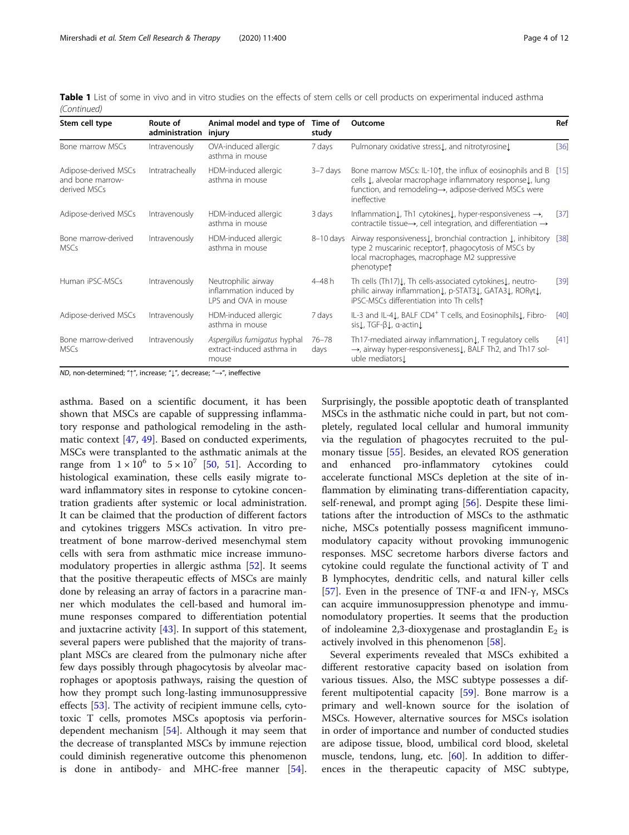Table 1 List of some in vivo and in vitro studies on the effects of stem cells or cell products on experimental induced asthma (Continued)

| Stem cell type                                           | Route of<br>administration | Animal model and type of<br>injury                                     | Time of<br>study  | Outcome                                                                                                                                                                                                          | Ref    |
|----------------------------------------------------------|----------------------------|------------------------------------------------------------------------|-------------------|------------------------------------------------------------------------------------------------------------------------------------------------------------------------------------------------------------------|--------|
| Bone marrow MSCs                                         | Intravenously              | OVA-induced allergic<br>asthma in mouse                                | 7 days            | Pulmonary oxidative stress L, and nitrotyrosine L                                                                                                                                                                | [36]   |
| Adipose-derived MSCs<br>and bone marrow-<br>derived MSCs | Intratracheally            | HDM-induced allergic<br>asthma in mouse                                | $3 - 7$ days      | Bone marrow MSCs: IL-101, the influx of eosinophils and B [15]<br>cells L, alveolar macrophage inflammatory response L, lung<br>function, and remodeling→, adipose-derived MSCs were<br>ineffective              |        |
| Adipose-derived MSCs                                     | Intravenously              | HDM-induced allergic<br>asthma in mouse                                | 3 days            | Inflammation L, Th1 cytokines L, hyper-responsiveness $\rightarrow$ ,<br>contractile tissue $\rightarrow$ , cell integration, and differentiation $\rightarrow$                                                  | [37]   |
| Bone marrow-derived<br><b>MSCs</b>                       | Intravenously              | HDM-induced allergic<br>asthma in mouse                                | $8-10$ days       | Airway responsiveness [, bronchial contraction [, inhibitory [38]<br>type 2 muscarinic receptor <sup>*</sup> , phagocytosis of MSCs by<br>local macrophages, macrophage M2 suppressive<br>phenotype <sup>1</sup> |        |
| Human iPSC-MSCs                                          | Intravenously              | Neutrophilic airway<br>inflammation induced by<br>LPS and OVA in mouse | $4 - 48 h$        | Th cells (Th17) L, Th cells-associated cytokines L, neutro-<br>philic airway inflammation L, p-STAT3 L, GATA3 L, RORyt L,<br>iPSC-MSCs differentiation into Th cells?                                            | $[39]$ |
| Adipose-derived MSCs                                     | Intravenously              | HDM-induced allergic<br>asthma in mouse                                | 7 days            | IL-3 and IL-41, BALF CD4 <sup>+</sup> T cells, and Eosinophils1, Fibro-<br>sis L, TGF-β L, α-actin L                                                                                                             | [40]   |
| Bone marrow-derived<br><b>MSCs</b>                       | Intravenously              | Aspergillus fumigatus hyphal<br>extract-induced asthma in<br>mouse     | $76 - 78$<br>days | Th17-mediated airway inflammation [, T regulatory cells<br>$\rightarrow$ , airway hyper-responsiveness L, BALF Th2, and Th17 sol-<br>uble mediators.                                                             | $[41]$ |

ND, non-determined; "↑", increase; "↓", decrease; "→", ineffective

asthma. Based on a scientific document, it has been shown that MSCs are capable of suppressing inflammatory response and pathological remodeling in the asthmatic context [\[47,](#page-9-0) [49\]](#page-9-0). Based on conducted experiments, MSCs were transplanted to the asthmatic animals at the range from  $1 \times 10^6$  to  $5 \times 10^7$  [\[50](#page-9-0), [51\]](#page-9-0). According to histological examination, these cells easily migrate toward inflammatory sites in response to cytokine concentration gradients after systemic or local administration. It can be claimed that the production of different factors and cytokines triggers MSCs activation. In vitro pretreatment of bone marrow-derived mesenchymal stem cells with sera from asthmatic mice increase immunomodulatory properties in allergic asthma [[52\]](#page-10-0). It seems that the positive therapeutic effects of MSCs are mainly done by releasing an array of factors in a paracrine manner which modulates the cell-based and humoral immune responses compared to differentiation potential and juxtacrine activity [\[43](#page-9-0)]. In support of this statement, several papers were published that the majority of transplant MSCs are cleared from the pulmonary niche after few days possibly through phagocytosis by alveolar macrophages or apoptosis pathways, raising the question of how they prompt such long-lasting immunosuppressive effects [[53\]](#page-10-0). The activity of recipient immune cells, cytotoxic T cells, promotes MSCs apoptosis via perforindependent mechanism [\[54](#page-10-0)]. Although it may seem that the decrease of transplanted MSCs by immune rejection could diminish regenerative outcome this phenomenon is done in antibody- and MHC-free manner [\[54](#page-10-0)]. Surprisingly, the possible apoptotic death of transplanted MSCs in the asthmatic niche could in part, but not completely, regulated local cellular and humoral immunity via the regulation of phagocytes recruited to the pulmonary tissue [\[55\]](#page-10-0). Besides, an elevated ROS generation and enhanced pro-inflammatory cytokines could accelerate functional MSCs depletion at the site of inflammation by eliminating trans-differentiation capacity, self-renewal, and prompt aging [\[56\]](#page-10-0). Despite these limitations after the introduction of MSCs to the asthmatic niche, MSCs potentially possess magnificent immunomodulatory capacity without provoking immunogenic responses. MSC secretome harbors diverse factors and cytokine could regulate the functional activity of T and B lymphocytes, dendritic cells, and natural killer cells [[57\]](#page-10-0). Even in the presence of TNF-α and IFN-γ, MSCs can acquire immunosuppression phenotype and immunomodulatory properties. It seems that the production of indoleamine 2,3-dioxygenase and prostaglandin  $E_2$  is actively involved in this phenomenon [\[58\]](#page-10-0).

Several experiments revealed that MSCs exhibited a different restorative capacity based on isolation from various tissues. Also, the MSC subtype possesses a different multipotential capacity [[59](#page-10-0)]. Bone marrow is a primary and well-known source for the isolation of MSCs. However, alternative sources for MSCs isolation in order of importance and number of conducted studies are adipose tissue, blood, umbilical cord blood, skeletal muscle, tendons, lung, etc. [[60](#page-10-0)]. In addition to differences in the therapeutic capacity of MSC subtype,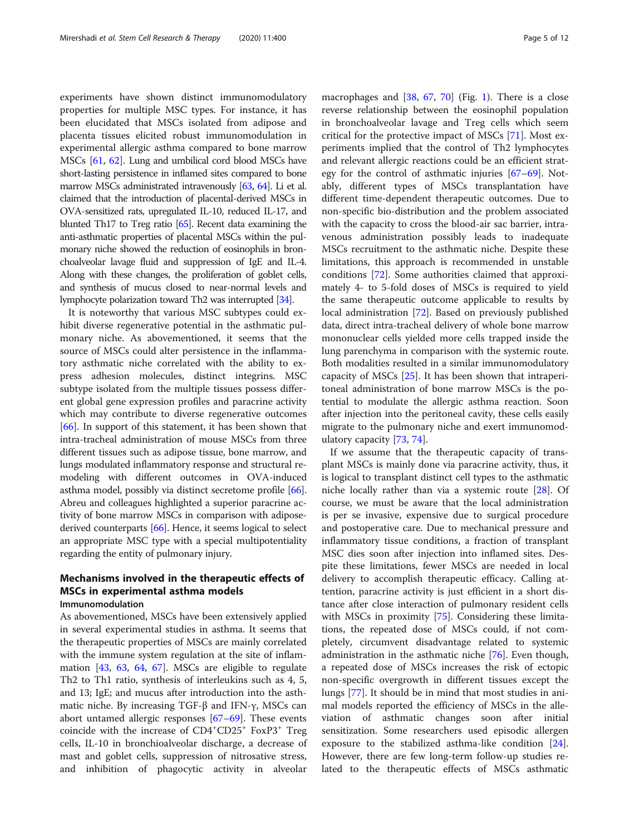experiments have shown distinct immunomodulatory properties for multiple MSC types. For instance, it has been elucidated that MSCs isolated from adipose and placenta tissues elicited robust immunomodulation in experimental allergic asthma compared to bone marrow MSCs [[61,](#page-10-0) [62](#page-10-0)]. Lung and umbilical cord blood MSCs have short-lasting persistence in inflamed sites compared to bone marrow MSCs administrated intravenously [\[63,](#page-10-0) [64](#page-10-0)]. Li et al. claimed that the introduction of placental-derived MSCs in OVA-sensitized rats, upregulated IL-10, reduced IL-17, and blunted Th17 to Treg ratio [\[65](#page-10-0)]. Recent data examining the anti-asthmatic properties of placental MSCs within the pulmonary niche showed the reduction of eosinophils in bronchoalveolar lavage fluid and suppression of IgE and IL-4. Along with these changes, the proliferation of goblet cells, and synthesis of mucus closed to near-normal levels and lymphocyte polarization toward Th2 was interrupted [\[34\]](#page-9-0).

It is noteworthy that various MSC subtypes could exhibit diverse regenerative potential in the asthmatic pulmonary niche. As abovementioned, it seems that the source of MSCs could alter persistence in the inflammatory asthmatic niche correlated with the ability to express adhesion molecules, distinct integrins. MSC subtype isolated from the multiple tissues possess different global gene expression profiles and paracrine activity which may contribute to diverse regenerative outcomes [[66\]](#page-10-0). In support of this statement, it has been shown that intra-tracheal administration of mouse MSCs from three different tissues such as adipose tissue, bone marrow, and lungs modulated inflammatory response and structural remodeling with different outcomes in OVA-induced asthma model, possibly via distinct secretome profile [[66](#page-10-0)]. Abreu and colleagues highlighted a superior paracrine activity of bone marrow MSCs in comparison with adiposederived counterparts [\[66](#page-10-0)]. Hence, it seems logical to select an appropriate MSC type with a special multipotentiality regarding the entity of pulmonary injury.

## Mechanisms involved in the therapeutic effects of MSCs in experimental asthma models Immunomodulation

As abovementioned, MSCs have been extensively applied in several experimental studies in asthma. It seems that the therapeutic properties of MSCs are mainly correlated with the immune system regulation at the site of inflammation [[43](#page-9-0), [63](#page-10-0), [64](#page-10-0), [67\]](#page-10-0). MSCs are eligible to regulate Th2 to Th1 ratio, synthesis of interleukins such as 4, 5, and 13; IgE; and mucus after introduction into the asthmatic niche. By increasing TGF-β and IFN-γ, MSCs can abort untamed allergic responses [[67](#page-10-0)–[69](#page-10-0)]. These events coincide with the increase of CD4<sup>+</sup>CD25<sup>+</sup> FoxP3<sup>+</sup> Treg cells, IL-10 in bronchioalveolar discharge, a decrease of mast and goblet cells, suppression of nitrosative stress, and inhibition of phagocytic activity in alveolar macrophages and [[38,](#page-9-0) [67,](#page-10-0) [70](#page-10-0)] (Fig. [1](#page-5-0)). There is a close reverse relationship between the eosinophil population in bronchoalveolar lavage and Treg cells which seem critical for the protective impact of MSCs [\[71](#page-10-0)]. Most experiments implied that the control of Th2 lymphocytes and relevant allergic reactions could be an efficient strategy for the control of asthmatic injuries [[67](#page-10-0)–[69](#page-10-0)]. Notably, different types of MSCs transplantation have different time-dependent therapeutic outcomes. Due to non-specific bio-distribution and the problem associated with the capacity to cross the blood-air sac barrier, intravenous administration possibly leads to inadequate MSCs recruitment to the asthmatic niche. Despite these limitations, this approach is recommended in unstable conditions [[72\]](#page-10-0). Some authorities claimed that approximately 4- to 5-fold doses of MSCs is required to yield the same therapeutic outcome applicable to results by local administration [[72\]](#page-10-0). Based on previously published data, direct intra-tracheal delivery of whole bone marrow mononuclear cells yielded more cells trapped inside the lung parenchyma in comparison with the systemic route. Both modalities resulted in a similar immunomodulatory capacity of MSCs [\[25](#page-9-0)]. It has been shown that intraperitoneal administration of bone marrow MSCs is the potential to modulate the allergic asthma reaction. Soon after injection into the peritoneal cavity, these cells easily migrate to the pulmonary niche and exert immunomodulatory capacity [\[73](#page-10-0), [74](#page-10-0)].

If we assume that the therapeutic capacity of transplant MSCs is mainly done via paracrine activity, thus, it is logical to transplant distinct cell types to the asthmatic niche locally rather than via a systemic route [\[28](#page-9-0)]. Of course, we must be aware that the local administration is per se invasive, expensive due to surgical procedure and postoperative care. Due to mechanical pressure and inflammatory tissue conditions, a fraction of transplant MSC dies soon after injection into inflamed sites. Despite these limitations, fewer MSCs are needed in local delivery to accomplish therapeutic efficacy. Calling attention, paracrine activity is just efficient in a short distance after close interaction of pulmonary resident cells with MSCs in proximity [[75\]](#page-10-0). Considering these limitations, the repeated dose of MSCs could, if not completely, circumvent disadvantage related to systemic administration in the asthmatic niche [[76\]](#page-10-0). Even though, a repeated dose of MSCs increases the risk of ectopic non-specific overgrowth in different tissues except the lungs [[77](#page-10-0)]. It should be in mind that most studies in animal models reported the efficiency of MSCs in the alleviation of asthmatic changes soon after initial sensitization. Some researchers used episodic allergen exposure to the stabilized asthma-like condition [\[24](#page-9-0)]. However, there are few long-term follow-up studies related to the therapeutic effects of MSCs asthmatic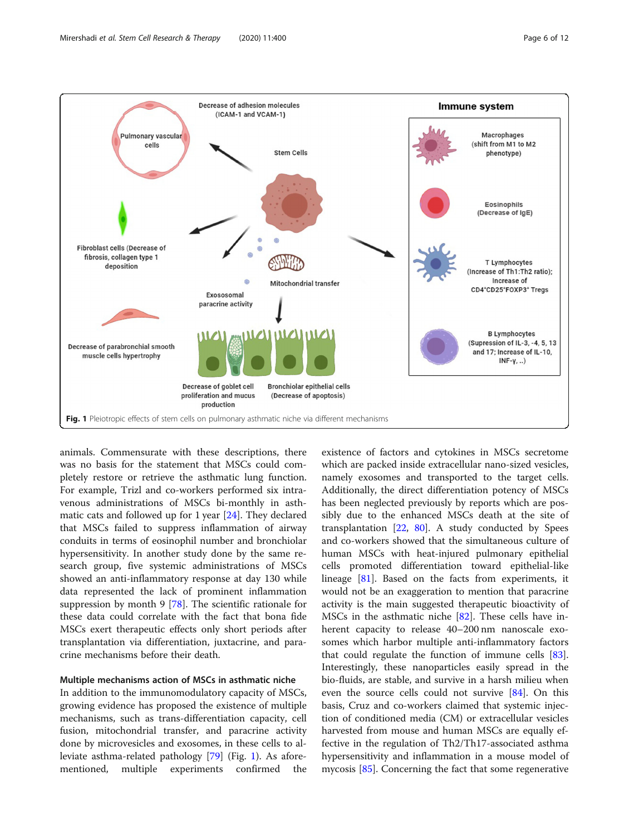<span id="page-5-0"></span>

animals. Commensurate with these descriptions, there was no basis for the statement that MSCs could completely restore or retrieve the asthmatic lung function. For example, Trizl and co-workers performed six intravenous administrations of MSCs bi-monthly in asthmatic cats and followed up for 1 year [[24](#page-9-0)]. They declared that MSCs failed to suppress inflammation of airway conduits in terms of eosinophil number and bronchiolar hypersensitivity. In another study done by the same research group, five systemic administrations of MSCs showed an anti-inflammatory response at day 130 while data represented the lack of prominent inflammation suppression by month 9 [[78\]](#page-10-0). The scientific rationale for these data could correlate with the fact that bona fide MSCs exert therapeutic effects only short periods after transplantation via differentiation, juxtacrine, and paracrine mechanisms before their death.

## Multiple mechanisms action of MSCs in asthmatic niche

In addition to the immunomodulatory capacity of MSCs, growing evidence has proposed the existence of multiple mechanisms, such as trans-differentiation capacity, cell fusion, mitochondrial transfer, and paracrine activity done by microvesicles and exosomes, in these cells to alleviate asthma-related pathology [[79](#page-10-0)] (Fig. 1). As aforementioned, multiple experiments confirmed the

existence of factors and cytokines in MSCs secretome which are packed inside extracellular nano-sized vesicles, namely exosomes and transported to the target cells. Additionally, the direct differentiation potency of MSCs has been neglected previously by reports which are possibly due to the enhanced MSCs death at the site of transplantation  $[22, 80]$  $[22, 80]$  $[22, 80]$  $[22, 80]$ . A study conducted by Spees and co-workers showed that the simultaneous culture of human MSCs with heat-injured pulmonary epithelial cells promoted differentiation toward epithelial-like lineage [[81\]](#page-10-0). Based on the facts from experiments, it would not be an exaggeration to mention that paracrine activity is the main suggested therapeutic bioactivity of MSCs in the asthmatic niche [[82\]](#page-10-0). These cells have inherent capacity to release 40–200 nm nanoscale exosomes which harbor multiple anti-inflammatory factors that could regulate the function of immune cells [\[83](#page-10-0)]. Interestingly, these nanoparticles easily spread in the bio-fluids, are stable, and survive in a harsh milieu when even the source cells could not survive [\[84\]](#page-10-0). On this basis, Cruz and co-workers claimed that systemic injection of conditioned media (CM) or extracellular vesicles harvested from mouse and human MSCs are equally effective in the regulation of Th2/Th17-associated asthma hypersensitivity and inflammation in a mouse model of mycosis [\[85\]](#page-10-0). Concerning the fact that some regenerative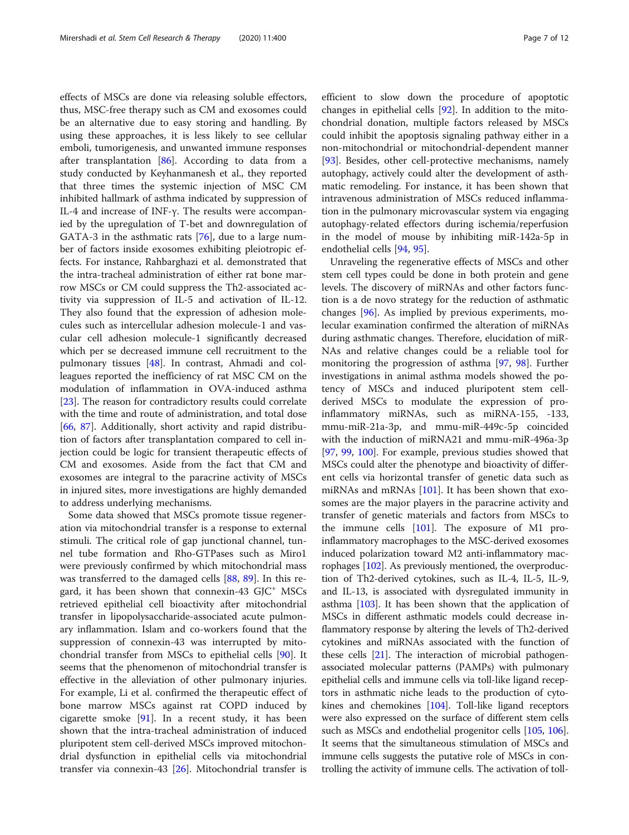effects of MSCs are done via releasing soluble effectors, thus, MSC-free therapy such as CM and exosomes could be an alternative due to easy storing and handling. By using these approaches, it is less likely to see cellular emboli, tumorigenesis, and unwanted immune responses after transplantation [[86](#page-10-0)]. According to data from a study conducted by Keyhanmanesh et al., they reported that three times the systemic injection of MSC CM inhibited hallmark of asthma indicated by suppression of IL-4 and increase of INF-γ. The results were accompanied by the upregulation of T-bet and downregulation of GATA-3 in the asthmatic rats [\[76](#page-10-0)], due to a large number of factors inside exosomes exhibiting pleiotropic effects. For instance, Rahbarghazi et al. demonstrated that the intra-tracheal administration of either rat bone marrow MSCs or CM could suppress the Th2-associated activity via suppression of IL-5 and activation of IL-12. They also found that the expression of adhesion molecules such as intercellular adhesion molecule-1 and vascular cell adhesion molecule-1 significantly decreased which per se decreased immune cell recruitment to the pulmonary tissues [[48](#page-9-0)]. In contrast, Ahmadi and colleagues reported the inefficiency of rat MSC CM on the modulation of inflammation in OVA-induced asthma [[23\]](#page-9-0). The reason for contradictory results could correlate with the time and route of administration, and total dose [[66,](#page-10-0) [87\]](#page-10-0). Additionally, short activity and rapid distribution of factors after transplantation compared to cell injection could be logic for transient therapeutic effects of CM and exosomes. Aside from the fact that CM and exosomes are integral to the paracrine activity of MSCs in injured sites, more investigations are highly demanded to address underlying mechanisms.

Some data showed that MSCs promote tissue regeneration via mitochondrial transfer is a response to external stimuli. The critical role of gap junctional channel, tunnel tube formation and Rho-GTPases such as Miro1 were previously confirmed by which mitochondrial mass was transferred to the damaged cells [[88,](#page-10-0) [89](#page-10-0)]. In this regard, it has been shown that connexin-43  $G/C^+$  MSCs retrieved epithelial cell bioactivity after mitochondrial transfer in lipopolysaccharide-associated acute pulmonary inflammation. Islam and co-workers found that the suppression of connexin-43 was interrupted by mitochondrial transfer from MSCs to epithelial cells [\[90\]](#page-10-0). It seems that the phenomenon of mitochondrial transfer is effective in the alleviation of other pulmonary injuries. For example, Li et al. confirmed the therapeutic effect of bone marrow MSCs against rat COPD induced by cigarette smoke [[91\]](#page-11-0). In a recent study, it has been shown that the intra-tracheal administration of induced pluripotent stem cell-derived MSCs improved mitochondrial dysfunction in epithelial cells via mitochondrial transfer via connexin-43 [\[26](#page-9-0)]. Mitochondrial transfer is efficient to slow down the procedure of apoptotic changes in epithelial cells [\[92](#page-11-0)]. In addition to the mitochondrial donation, multiple factors released by MSCs could inhibit the apoptosis signaling pathway either in a non-mitochondrial or mitochondrial-dependent manner [[93\]](#page-11-0). Besides, other cell-protective mechanisms, namely autophagy, actively could alter the development of asthmatic remodeling. For instance, it has been shown that intravenous administration of MSCs reduced inflammation in the pulmonary microvascular system via engaging autophagy-related effectors during ischemia/reperfusion in the model of mouse by inhibiting miR-142a-5p in endothelial cells [[94](#page-11-0), [95](#page-11-0)].

Unraveling the regenerative effects of MSCs and other stem cell types could be done in both protein and gene levels. The discovery of miRNAs and other factors function is a de novo strategy for the reduction of asthmatic changes [\[96](#page-11-0)]. As implied by previous experiments, molecular examination confirmed the alteration of miRNAs during asthmatic changes. Therefore, elucidation of miR-NAs and relative changes could be a reliable tool for monitoring the progression of asthma [\[97](#page-11-0), [98](#page-11-0)]. Further investigations in animal asthma models showed the potency of MSCs and induced pluripotent stem cellderived MSCs to modulate the expression of proinflammatory miRNAs, such as miRNA-155, -133, mmu-miR-21a-3p, and mmu-miR-449c-5p coincided with the induction of miRNA21 and mmu-miR-496a-3p [[97,](#page-11-0) [99](#page-11-0), [100](#page-11-0)]. For example, previous studies showed that MSCs could alter the phenotype and bioactivity of different cells via horizontal transfer of genetic data such as miRNAs and mRNAs [[101\]](#page-11-0). It has been shown that exosomes are the major players in the paracrine activity and transfer of genetic materials and factors from MSCs to the immune cells [[101](#page-11-0)]. The exposure of M1 proinflammatory macrophages to the MSC-derived exosomes induced polarization toward M2 anti-inflammatory macrophages [[102](#page-11-0)]. As previously mentioned, the overproduction of Th2-derived cytokines, such as IL-4, IL-5, IL-9, and IL-13, is associated with dysregulated immunity in asthma [[103](#page-11-0)]. It has been shown that the application of MSCs in different asthmatic models could decrease inflammatory response by altering the levels of Th2-derived cytokines and miRNAs associated with the function of these cells [\[21\]](#page-9-0). The interaction of microbial pathogenassociated molecular patterns (PAMPs) with pulmonary epithelial cells and immune cells via toll-like ligand receptors in asthmatic niche leads to the production of cytokines and chemokines [\[104\]](#page-11-0). Toll-like ligand receptors were also expressed on the surface of different stem cells such as MSCs and endothelial progenitor cells [\[105,](#page-11-0) [106](#page-11-0)]. It seems that the simultaneous stimulation of MSCs and immune cells suggests the putative role of MSCs in controlling the activity of immune cells. The activation of toll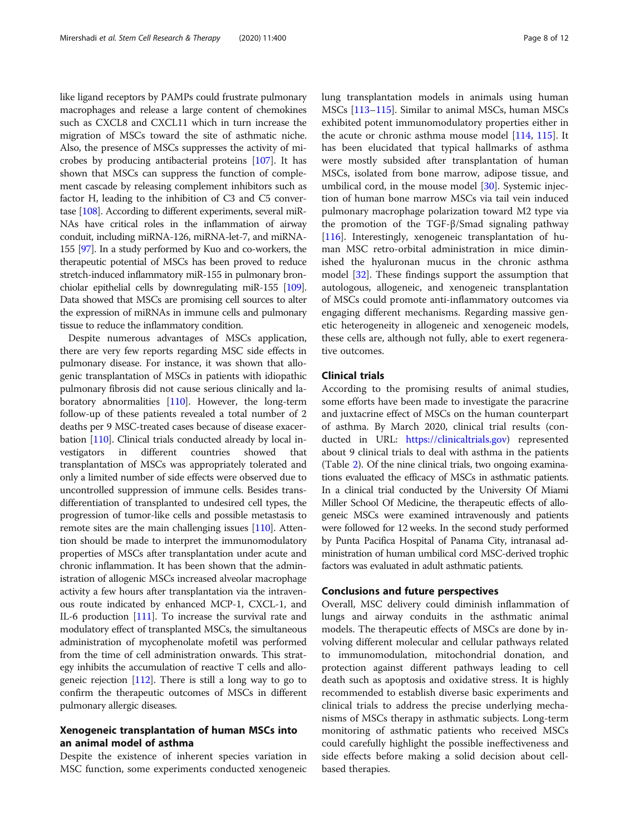like ligand receptors by PAMPs could frustrate pulmonary macrophages and release a large content of chemokines such as CXCL8 and CXCL11 which in turn increase the migration of MSCs toward the site of asthmatic niche. Also, the presence of MSCs suppresses the activity of microbes by producing antibacterial proteins [[107](#page-11-0)]. It has shown that MSCs can suppress the function of complement cascade by releasing complement inhibitors such as factor H, leading to the inhibition of C3 and C5 convertase [[108](#page-11-0)]. According to different experiments, several miR-NAs have critical roles in the inflammation of airway conduit, including miRNA-126, miRNA-let-7, and miRNA-155 [[97](#page-11-0)]. In a study performed by Kuo and co-workers, the therapeutic potential of MSCs has been proved to reduce stretch-induced inflammatory miR-155 in pulmonary bronchiolar epithelial cells by downregulating miR-155 [\[109](#page-11-0)]. Data showed that MSCs are promising cell sources to alter the expression of miRNAs in immune cells and pulmonary tissue to reduce the inflammatory condition.

Despite numerous advantages of MSCs application, there are very few reports regarding MSC side effects in pulmonary disease. For instance, it was shown that allogenic transplantation of MSCs in patients with idiopathic pulmonary fibrosis did not cause serious clinically and laboratory abnormalities [[110](#page-11-0)]. However, the long-term follow-up of these patients revealed a total number of 2 deaths per 9 MSC-treated cases because of disease exacerbation [\[110\]](#page-11-0). Clinical trials conducted already by local investigators in different countries showed that transplantation of MSCs was appropriately tolerated and only a limited number of side effects were observed due to uncontrolled suppression of immune cells. Besides transdifferentiation of transplanted to undesired cell types, the progression of tumor-like cells and possible metastasis to remote sites are the main challenging issues [[110\]](#page-11-0). Attention should be made to interpret the immunomodulatory properties of MSCs after transplantation under acute and chronic inflammation. It has been shown that the administration of allogenic MSCs increased alveolar macrophage activity a few hours after transplantation via the intravenous route indicated by enhanced MCP-1, CXCL-1, and IL-6 production [\[111\]](#page-11-0). To increase the survival rate and modulatory effect of transplanted MSCs, the simultaneous administration of mycophenolate mofetil was performed from the time of cell administration onwards. This strategy inhibits the accumulation of reactive T cells and allogeneic rejection [[112](#page-11-0)]. There is still a long way to go to confirm the therapeutic outcomes of MSCs in different pulmonary allergic diseases.

## Xenogeneic transplantation of human MSCs into an animal model of asthma

Despite the existence of inherent species variation in MSC function, some experiments conducted xenogeneic lung transplantation models in animals using human MSCs [\[113](#page-11-0)–[115\]](#page-11-0). Similar to animal MSCs, human MSCs exhibited potent immunomodulatory properties either in the acute or chronic asthma mouse model [\[114,](#page-11-0) [115](#page-11-0)]. It has been elucidated that typical hallmarks of asthma were mostly subsided after transplantation of human MSCs, isolated from bone marrow, adipose tissue, and umbilical cord, in the mouse model [\[30](#page-9-0)]. Systemic injection of human bone marrow MSCs via tail vein induced pulmonary macrophage polarization toward M2 type via the promotion of the TGF-β/Smad signaling pathway [[116\]](#page-11-0). Interestingly, xenogeneic transplantation of human MSC retro-orbital administration in mice diminished the hyaluronan mucus in the chronic asthma model [\[32\]](#page-9-0). These findings support the assumption that autologous, allogeneic, and xenogeneic transplantation of MSCs could promote anti-inflammatory outcomes via engaging different mechanisms. Regarding massive genetic heterogeneity in allogeneic and xenogeneic models, these cells are, although not fully, able to exert regenerative outcomes.

## Clinical trials

According to the promising results of animal studies, some efforts have been made to investigate the paracrine and juxtacrine effect of MSCs on the human counterpart of asthma. By March 2020, clinical trial results (conducted in URL: [https://clinicaltrials.gov\)](https://clinicaltrials.gov) represented about 9 clinical trials to deal with asthma in the patients (Table [2](#page-8-0)). Of the nine clinical trials, two ongoing examinations evaluated the efficacy of MSCs in asthmatic patients. In a clinical trial conducted by the University Of Miami Miller School Of Medicine, the therapeutic effects of allogeneic MSCs were examined intravenously and patients were followed for 12 weeks. In the second study performed by Punta Pacifica Hospital of Panama City, intranasal administration of human umbilical cord MSC-derived trophic factors was evaluated in adult asthmatic patients.

## Conclusions and future perspectives

Overall, MSC delivery could diminish inflammation of lungs and airway conduits in the asthmatic animal models. The therapeutic effects of MSCs are done by involving different molecular and cellular pathways related to immunomodulation, mitochondrial donation, and protection against different pathways leading to cell death such as apoptosis and oxidative stress. It is highly recommended to establish diverse basic experiments and clinical trials to address the precise underlying mechanisms of MSCs therapy in asthmatic subjects. Long-term monitoring of asthmatic patients who received MSCs could carefully highlight the possible ineffectiveness and side effects before making a solid decision about cellbased therapies.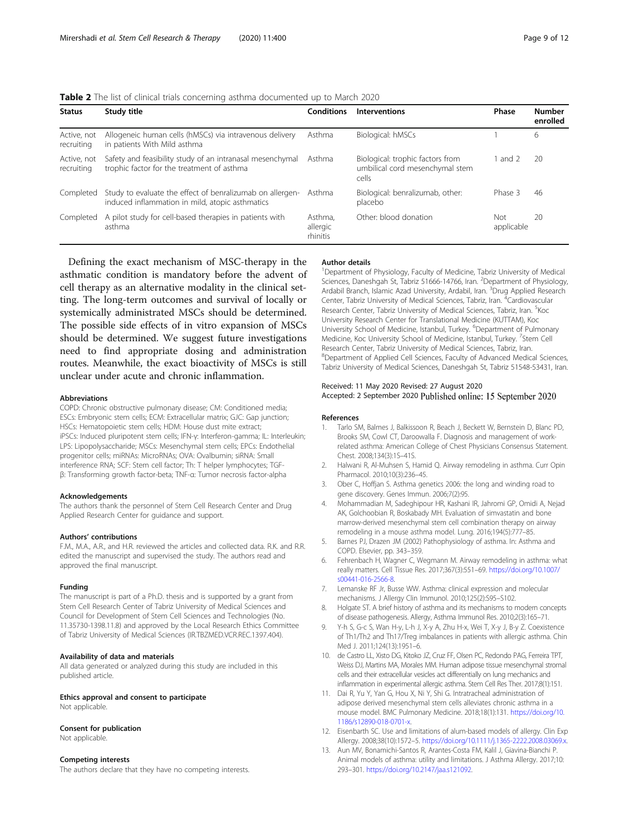<span id="page-8-0"></span>

| <b>Table 2</b> The list of clinical trials concerning asthma documented up to March 2020 |  |  |
|------------------------------------------------------------------------------------------|--|--|
|                                                                                          |  |  |

| <b>Status</b>             | Study title                                                                                                  | Conditions                      | <b>Interventions</b>                                                         | Phase             | <b>Number</b><br>enrolled |
|---------------------------|--------------------------------------------------------------------------------------------------------------|---------------------------------|------------------------------------------------------------------------------|-------------------|---------------------------|
| Active, not<br>recruiting | Allogeneic human cells (hMSCs) via intravenous delivery<br>in patients With Mild asthma                      | Asthma                          | Biological: hMSCs                                                            |                   | 6                         |
| Active, not<br>recruitina | Safety and feasibility study of an intranasal mesenchymal<br>trophic factor for the treatment of asthma      | Asthma                          | Biological: trophic factors from<br>umbilical cord mesenchymal stem<br>cells | and 2             | 20                        |
| Completed                 | Study to evaluate the effect of benralizumab on allergen-<br>induced inflammation in mild, atopic asthmatics | Asthma                          | Biological: benralizumab, other:<br>placebo                                  | Phase 3           | 46                        |
| Completed                 | A pilot study for cell-based therapies in patients with<br>asthma                                            | Asthma.<br>allergic<br>rhinitis | Other: blood donation                                                        | Not<br>applicable | 20                        |

Defining the exact mechanism of MSC-therapy in the asthmatic condition is mandatory before the advent of cell therapy as an alternative modality in the clinical setting. The long-term outcomes and survival of locally or systemically administrated MSCs should be determined. The possible side effects of in vitro expansion of MSCs should be determined. We suggest future investigations need to find appropriate dosing and administration routes. Meanwhile, the exact bioactivity of MSCs is still unclear under acute and chronic inflammation.

#### Abbreviations

COPD: Chronic obstructive pulmonary disease; CM: Conditioned media; ESCs: Embryonic stem cells; ECM: Extracellular matrix; GJC: Gap junction; HSCs: Hematopoietic stem cells; HDM: House dust mite extract; iPSCs: Induced pluripotent stem cells; IFN-γ: Interferon-gamma; IL: Interleukin; LPS: Lipopolysaccharide; MSCs: Mesenchymal stem cells; EPCs: Endothelial progenitor cells; miRNAs: MicroRNAs; OVA: Ovalbumin; siRNA: Small interference RNA; SCF: Stem cell factor; Th: T helper lymphocytes; TGFβ: Transforming growth factor-beta; TNF-α: Tumor necrosis factor-alpha

#### Acknowledgements

The authors thank the personnel of Stem Cell Research Center and Drug Applied Research Center for guidance and support.

#### Authors' contributions

F.M., M.A., A.R., and H.R. reviewed the articles and collected data. R.K. and R.R. edited the manuscript and supervised the study. The authors read and approved the final manuscript.

#### Funding

The manuscript is part of a Ph.D. thesis and is supported by a grant from Stem Cell Research Center of Tabriz University of Medical Sciences and Council for Development of Stem Cell Sciences and Technologies (No. 11.35730-1398.11.8) and approved by the Local Research Ethics Committee of Tabriz University of Medical Sciences (IR.TBZMED.VCR.REC.1397.404).

#### Availability of data and materials

All data generated or analyzed during this study are included in this published article.

Ethics approval and consent to participate Not applicable.

#### Consent for publication

Not applicable.

### Competing interests

The authors declare that they have no competing interests.

#### Author details

<sup>1</sup>Department of Physiology, Faculty of Medicine, Tabriz University of Medical Sciences, Daneshgah St, Tabriz 51666-14766, Iran. <sup>2</sup>Department of Physiology Ardabil Branch, Islamic Azad University, Ardabil, Iran. <sup>3</sup>Drug Applied Research Center, Tabriz University of Medical Sciences, Tabriz, Iran. <sup>4</sup>Cardiovascular Research Center, Tabriz University of Medical Sciences, Tabriz, Iran. <sup>5</sup>Koo University Research Center for Translational Medicine (KUTTAM), Koc University School of Medicine, Istanbul, Turkey. <sup>6</sup>Department of Pulmonary Medicine, Koc University School of Medicine, Istanbul, Turkey. <sup>7</sup>Stem Cell Research Center, Tabriz University of Medical Sciences, Tabriz, Iran. 8 Department of Applied Cell Sciences, Faculty of Advanced Medical Sciences, Tabriz University of Medical Sciences, Daneshgah St, Tabriz 51548-53431, Iran.

### Received: 11 May 2020 Revised: 27 August 2020 Accepted: 2 September 2020 Published online: 15 September 2020

#### References

- 1. Tarlo SM, Balmes J, Balkissoon R, Beach J, Beckett W, Bernstein D, Blanc PD, Brooks SM, Cowl CT, Daroowalla F. Diagnosis and management of workrelated asthma: American College of Chest Physicians Consensus Statement. Chest. 2008;134(3):1S–41S.
- 2. Halwani R, Al-Muhsen S, Hamid Q. Airway remodeling in asthma. Curr Opin Pharmacol. 2010;10(3):236–45.
- 3. Ober C, Hoffjan S. Asthma genetics 2006: the long and winding road to gene discovery. Genes Immun. 2006;7(2):95.
- 4. Mohammadian M, Sadeghipour HR, Kashani IR, Jahromi GP, Omidi A, Nejad AK, Golchoobian R, Boskabady MH. Evaluation of simvastatin and bone marrow-derived mesenchymal stem cell combination therapy on airway remodeling in a mouse asthma model. Lung. 2016;194(5):777–85.
- 5. Barnes PJ, Drazen JM (2002) Pathophysiology of asthma. In: Asthma and COPD. Elsevier, pp. 343–359.
- 6. Fehrenbach H, Wagner C, Wegmann M. Airway remodeling in asthma: what really matters. Cell Tissue Res. 2017;367(3):551–69. [https://doi.org/10.1007/](https://doi.org/10.1007/s00441-016-2566-8) [s00441-016-2566-8.](https://doi.org/10.1007/s00441-016-2566-8)
- 7. Lemanske RF Jr, Busse WW. Asthma: clinical expression and molecular mechanisms. J Allergy Clin Immunol. 2010;125(2):S95–S102.
- 8. Holgate ST. A brief history of asthma and its mechanisms to modern concepts of disease pathogenesis. Allergy, Asthma Immunol Res. 2010;2(3):165–71.
- Y-h S, G-c S, Wan H-y, L-h J, X-y A, Zhu H-x, Wei T, X-y J, B-y Z. Coexistence of Th1/Th2 and Th17/Treg imbalances in patients with allergic asthma. Chin Med J. 2011;124(13):1951–6.
- 10. de Castro LL, Xisto DG, Kitoko JZ, Cruz FF, Olsen PC, Redondo PAG, Ferreira TPT, Weiss DJ, Martins MA, Morales MM. Human adipose tissue mesenchymal stromal cells and their extracellular vesicles act differentially on lung mechanics and inflammation in experimental allergic asthma. Stem Cell Res Ther. 2017;8(1):151.
- 11. Dai R, Yu Y, Yan G, Hou X, Ni Y, Shi G. Intratracheal administration of adipose derived mesenchymal stem cells alleviates chronic asthma in a mouse model. BMC Pulmonary Medicine. 2018;18(1):131. [https://doi.org/10.](https://doi.org/10.1186/s12890-018-0701-x) [1186/s12890-018-0701-x.](https://doi.org/10.1186/s12890-018-0701-x)
- 12. Eisenbarth SC. Use and limitations of alum-based models of allergy. Clin Exp Allergy. 2008;38(10):1572–5. [https://doi.org/10.1111/j.1365-2222.2008.03069.x.](https://doi.org/10.1111/j.1365-2222.2008.03069.x)
- 13. Aun MV, Bonamichi-Santos R, Arantes-Costa FM, Kalil J, Giavina-Bianchi P. Animal models of asthma: utility and limitations. J Asthma Allergy. 2017;10: 293–301. <https://doi.org/10.2147/jaa.s121092>.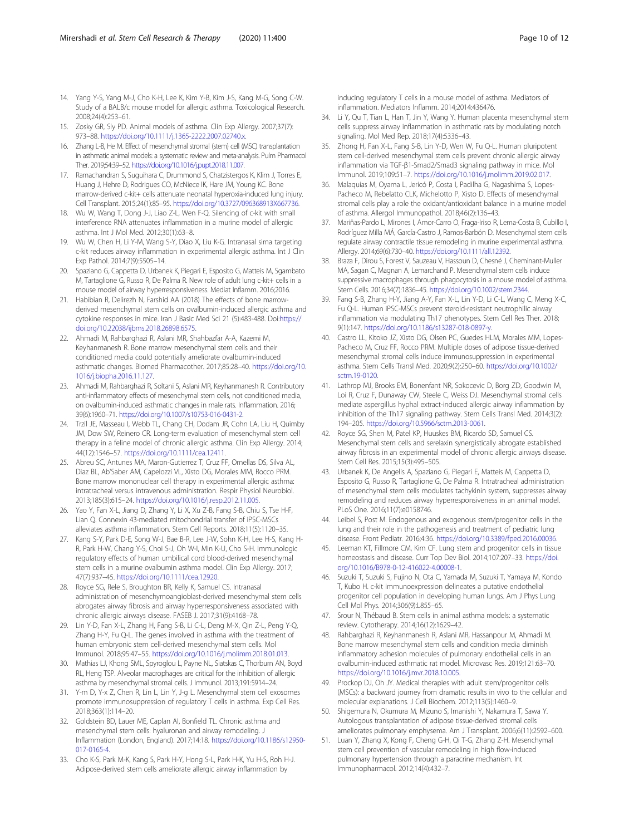- <span id="page-9-0"></span>14. Yang Y-S, Yang M-J, Cho K-H, Lee K, Kim Y-B, Kim J-S, Kang M-G, Song C-W. Study of a BALB/c mouse model for allergic asthma. Toxicological Research. 2008;24(4):253–61.
- 15. Zosky GR, Sly PD. Animal models of asthma. Clin Exp Allergy. 2007;37(7): 973–88. <https://doi.org/10.1111/j.1365-2222.2007.02740.x>.
- 16. Zhang L-B, He M. Effect of mesenchymal stromal (stem) cell (MSC) transplantation in asthmatic animal models: a systematic review and meta-analysis. Pulm Pharmacol Ther. 2019;54:39–52. [https://doi.org/10.1016/j.pupt.2018.11.007.](https://doi.org/10.1016/j.pupt.2018.11.007)
- 17. Ramachandran S, Suguihara C, Drummond S, Chatzistergos K, Klim J, Torres E, Huang J, Hehre D, Rodrigues CO, McNiece IK, Hare JM, Young KC. Bone marrow-derived c-kit+ cells attenuate neonatal hyperoxia-induced lung injury. Cell Transplant. 2015;24(1):85–95. [https://doi.org/10.3727/096368913X667736.](https://doi.org/10.3727/096368913X667736)
- 18. Wu W, Wang T, Dong J-J, Liao Z-L, Wen F-Q. Silencing of c-kit with small interference RNA attenuates inflammation in a murine model of allergic asthma. Int J Mol Med. 2012;30(1):63–8.
- 19. Wu W, Chen H, Li Y-M, Wang S-Y, Diao X, Liu K-G. Intranasal sirna targeting c-kit reduces airway inflammation in experimental allergic asthma. Int J Clin Exp Pathol. 2014;7(9):5505–14.
- 20. Spaziano G, Cappetta D, Urbanek K, Piegari E, Esposito G, Matteis M, Sgambato M, Tartaglione G, Russo R, De Palma R. New role of adult lung c-kit+ cells in a mouse model of airway hyperresponsiveness. Mediat Inflamm. 2016;2016.
- 21. Habibian R, Delirezh N, Farshid AA (2018) The effects of bone marrowderived mesenchymal stem cells on ovalbumin-induced allergic asthma and cytokine responses in mice. Iran J Basic Med Sci 21 (5):483-488. Doi:[https://](https://doi.org/10.22038/ijbms.2018.26898.6575) [doi.org/10.22038/ijbms.2018.26898.6575.](https://doi.org/10.22038/ijbms.2018.26898.6575)
- 22. Ahmadi M, Rahbarghazi R, Aslani MR, Shahbazfar A-A, Kazemi M, Keyhanmanesh R. Bone marrow mesenchymal stem cells and their conditioned media could potentially ameliorate ovalbumin-induced asthmatic changes. Biomed Pharmacother. 2017;85:28–40. [https://doi.org/10.](https://doi.org/10.1016/j.biopha.2016.11.127) [1016/j.biopha.2016.11.127.](https://doi.org/10.1016/j.biopha.2016.11.127)
- 23. Ahmadi M, Rahbarghazi R, Soltani S, Aslani MR, Keyhanmanesh R. Contributory anti-inflammatory effects of mesenchymal stem cells, not conditioned media, on ovalbumin-induced asthmatic changes in male rats. Inflammation. 2016; 39(6):1960–71. <https://doi.org/10.1007/s10753-016-0431-2>.
- 24. Trzil JE, Masseau I, Webb TL, Chang CH, Dodam JR, Cohn LA, Liu H, Quimby JM, Dow SW, Reinero CR. Long-term evaluation of mesenchymal stem cell therapy in a feline model of chronic allergic asthma. Clin Exp Allergy. 2014; 44(12):1546–57. [https://doi.org/10.1111/cea.12411.](https://doi.org/10.1111/cea.12411)
- 25. Abreu SC, Antunes MA, Maron-Gutierrez T, Cruz FF, Ornellas DS, Silva AL, Diaz BL, Ab'Saber AM, Capelozzi VL, Xisto DG, Morales MM, Rocco PRM. Bone marrow mononuclear cell therapy in experimental allergic asthma: intratracheal versus intravenous administration. Respir Physiol Neurobiol. 2013;185(3):615–24. <https://doi.org/10.1016/j.resp.2012.11.005>.
- 26. Yao Y, Fan X-L, Jiang D, Zhang Y, Li X, Xu Z-B, Fang S-B, Chiu S, Tse H-F, Lian Q. Connexin 43-mediated mitochondrial transfer of iPSC-MSCs alleviates asthma inflammation. Stem Cell Reports. 2018;11(5):1120–35.
- 27. Kang S-Y, Park D-E, Song W-J, Bae B-R, Lee J-W, Sohn K-H, Lee H-S, Kang H-R, Park H-W, Chang Y-S, Choi S-J, Oh W-I, Min K-U, Cho S-H. Immunologic regulatory effects of human umbilical cord blood-derived mesenchymal stem cells in a murine ovalbumin asthma model. Clin Exp Allergy. 2017; 47(7):937–45. [https://doi.org/10.1111/cea.12920.](https://doi.org/10.1111/cea.12920)
- 28. Royce SG, Rele S, Broughton BR, Kelly K, Samuel CS. Intranasal administration of mesenchymoangioblast-derived mesenchymal stem cells abrogates airway fibrosis and airway hyperresponsiveness associated with chronic allergic airways disease. FASEB J. 2017;31(9):4168–78.
- 29. Lin Y-D, Fan X-L, Zhang H, Fang S-B, Li C-L, Deng M-X, Qin Z-L, Peng Y-Q, Zhang H-Y, Fu Q-L. The genes involved in asthma with the treatment of human embryonic stem cell-derived mesenchymal stem cells. Mol Immunol. 2018;95:47–55. <https://doi.org/10.1016/j.molimm.2018.01.013>.
- 30. Mathias LJ, Khong SML, Spyroglou L, Payne NL, Siatskas C, Thorburn AN, Boyd RL, Heng TSP. Alveolar macrophages are critical for the inhibition of allergic asthma by mesenchymal stromal cells. J Immunol. 2013;191:5914–24.
- 31. Y-m D, Y-x Z, Chen R, Lin L, Lin Y, J-g L. Mesenchymal stem cell exosomes promote immunosuppression of regulatory T cells in asthma. Exp Cell Res. 2018;363(1):114–20.
- 32. Goldstein BD, Lauer ME, Caplan AI, Bonfield TL. Chronic asthma and mesenchymal stem cells: hyaluronan and airway remodeling. J Inflammation (London, England). 2017;14:18. [https://doi.org/10.1186/s12950-](https://doi.org/10.1186/s12950-017-0165-4) [017-0165-4](https://doi.org/10.1186/s12950-017-0165-4).
- 33. Cho K-S, Park M-K, Kang S, Park H-Y, Hong S-L, Park H-K, Yu H-S, Roh H-J. Adipose-derived stem cells ameliorate allergic airway inflammation by

inducing regulatory T cells in a mouse model of asthma. Mediators of inflammation. Mediators Inflamm. 2014;2014:436476.

- 34. Li Y, Qu T, Tian L, Han T, Jin Y, Wang Y. Human placenta mesenchymal stem cells suppress airway inflammation in asthmatic rats by modulating notch signaling. Mol Med Rep. 2018;17(4):5336–43.
- 35. Zhong H, Fan X-L, Fang S-B, Lin Y-D, Wen W, Fu Q-L. Human pluripotent stem cell-derived mesenchymal stem cells prevent chronic allergic airway inflammation via TGF-β1-Smad2/Smad3 signaling pathway in mice. Mol Immunol. 2019;109:51–7. <https://doi.org/10.1016/j.molimm.2019.02.017>.
- 36. Malaquias M, Oyama L, Jericó P, Costa I, Padilha G, Nagashima S, Lopes-Pacheco M, Rebelatto CLK, Michelotto P, Xisto D. Effects of mesenchymal stromal cells play a role the oxidant/antioxidant balance in a murine model of asthma. Allergol Immunopathol. 2018;46(2):136–43.
- 37. Mariñas-Pardo L, Mirones I, Amor-Carro O, Fraga-Iriso R, Lema-Costa B, Cubillo I, Rodríguez Milla MÁ, García-Castro J, Ramos-Barbón D. Mesenchymal stem cells regulate airway contractile tissue remodeling in murine experimental asthma. Allergy. 2014;69(6):730–40. <https://doi.org/10.1111/all.12392>.
- 38. Braza F, Dirou S, Forest V, Sauzeau V, Hassoun D, Chesné J, Cheminant-Muller MA, Sagan C, Magnan A, Lemarchand P. Mesenchymal stem cells induce suppressive macrophages through phagocytosis in a mouse model of asthma. Stem Cells. 2016;34(7):1836–45. [https://doi.org/10.1002/stem.2344.](https://doi.org/10.1002/stem.2344)
- 39. Fang S-B, Zhang H-Y, Jiang A-Y, Fan X-L, Lin Y-D, Li C-L, Wang C, Meng X-C, Fu Q-L. Human iPSC-MSCs prevent steroid-resistant neutrophilic airway inflammation via modulating Th17 phenotypes. Stem Cell Res Ther. 2018; 9(1):147. <https://doi.org/10.1186/s13287-018-0897-y>.
- 40. Castro LL, Kitoko JZ, Xisto DG, Olsen PC, Guedes HLM, Morales MM, Lopes-Pacheco M, Cruz FF, Rocco PRM. Multiple doses of adipose tissue-derived mesenchymal stromal cells induce immunosuppression in experimental asthma. Stem Cells Transl Med. 2020;9(2):250–60. [https://doi.org/10.1002/](https://doi.org/10.1002/sctm.19-0120) [sctm.19-0120](https://doi.org/10.1002/sctm.19-0120).
- 41. Lathrop MJ, Brooks EM, Bonenfant NR, Sokocevic D, Borg ZD, Goodwin M, Loi R, Cruz F, Dunaway CW, Steele C, Weiss DJ. Mesenchymal stromal cells mediate aspergillus hyphal extract-induced allergic airway inflammation by inhibition of the Th17 signaling pathway. Stem Cells Transl Med. 2014;3(2): 194–205. [https://doi.org/10.5966/sctm.2013-0061.](https://doi.org/10.5966/sctm.2013-0061)
- 42. Royce SG, Shen M, Patel KP, Huuskes BM, Ricardo SD, Samuel CS. Mesenchymal stem cells and serelaxin synergistically abrogate established airway fibrosis in an experimental model of chronic allergic airways disease. Stem Cell Res. 2015;15(3):495–505.
- 43. Urbanek K, De Angelis A, Spaziano G, Piegari E, Matteis M, Cappetta D, Esposito G, Russo R, Tartaglione G, De Palma R. Intratracheal administration of mesenchymal stem cells modulates tachykinin system, suppresses airway remodeling and reduces airway hyperresponsiveness in an animal model. PLoS One. 2016;11(7):e0158746.
- 44. Leibel S, Post M. Endogenous and exogenous stem/progenitor cells in the lung and their role in the pathogenesis and treatment of pediatric lung disease. Front Pediatr. 2016;4:36. [https://doi.org/10.3389/fped.2016.00036.](https://doi.org/10.3389/fped.2016.00036)
- 45. Leeman KT, Fillmore CM, Kim CF. Lung stem and progenitor cells in tissue homeostasis and disease. Curr Top Dev Biol. 2014;107:207–33. [https://doi.](https://doi.org/10.1016/B978-0-12-416022-4.00008-1) [org/10.1016/B978-0-12-416022-4.00008-1.](https://doi.org/10.1016/B978-0-12-416022-4.00008-1)
- 46. Suzuki T, Suzuki S, Fujino N, Ota C, Yamada M, Suzuki T, Yamaya M, Kondo T, Kubo H. c-kit immunoexpression delineates a putative endothelial progenitor cell population in developing human lungs. Am J Phys Lung Cell Mol Phys. 2014;306(9):L855–65.
- 47. Srour N, Thébaud B. Stem cells in animal asthma models: a systematic review. Cytotherapy. 2014;16(12):1629–42.
- 48. Rahbarghazi R, Keyhanmanesh R, Aslani MR, Hassanpour M, Ahmadi M. Bone marrow mesenchymal stem cells and condition media diminish inflammatory adhesion molecules of pulmonary endothelial cells in an ovalbumin-induced asthmatic rat model. Microvasc Res. 2019;121:63–70. [https://doi.org/10.1016/j.mvr.2018.10.005.](https://doi.org/10.1016/j.mvr.2018.10.005)
- 49. Prockop DJ, Oh JY. Medical therapies with adult stem/progenitor cells (MSCs): a backward journey from dramatic results in vivo to the cellular and molecular explanations. J Cell Biochem. 2012;113(5):1460–9.
- 50. Shigemura N, Okumura M, Mizuno S, Imanishi Y, Nakamura T, Sawa Y. Autologous transplantation of adipose tissue-derived stromal cells ameliorates pulmonary emphysema. Am J Transplant. 2006;6(11):2592–600.
- 51. Luan Y, Zhang X, Kong F, Cheng G-H, Qi T-G, Zhang Z-H. Mesenchymal stem cell prevention of vascular remodeling in high flow-induced pulmonary hypertension through a paracrine mechanism. Int Immunopharmacol. 2012;14(4):432–7.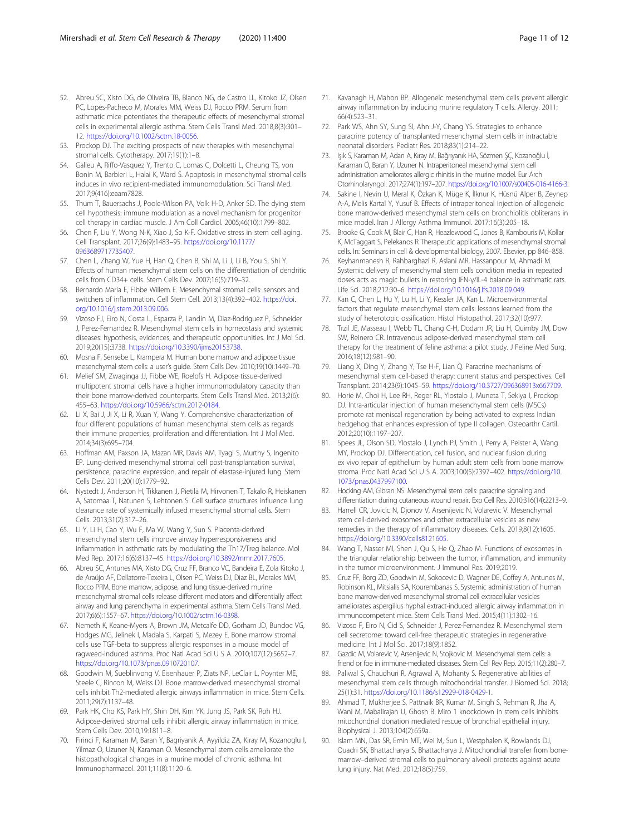- <span id="page-10-0"></span>52. Abreu SC, Xisto DG, de Oliveira TB, Blanco NG, de Castro LL, Kitoko JZ, Olsen PC, Lopes-Pacheco M, Morales MM, Weiss DJ, Rocco PRM. Serum from asthmatic mice potentiates the therapeutic effects of mesenchymal stromal cells in experimental allergic asthma. Stem Cells Transl Med. 2018;8(3):301– 12. <https://doi.org/10.1002/sctm.18-0056>.
- 53. Prockop DJ. The exciting prospects of new therapies with mesenchymal stromal cells. Cytotherapy. 2017;19(1):1–8.
- 54. Galleu A, Riffo-Vasquez Y, Trento C, Lomas C, Dolcetti L, Cheung TS, von Bonin M, Barbieri L, Halai K, Ward S. Apoptosis in mesenchymal stromal cells induces in vivo recipient-mediated immunomodulation. Sci Transl Med. 2017;9(416):eaam7828.
- 55. Thum T, Bauersachs J, Poole-Wilson PA, Volk H-D, Anker SD. The dying stem cell hypothesis: immune modulation as a novel mechanism for progenitor cell therapy in cardiac muscle. J Am Coll Cardiol. 2005;46(10):1799–802.
- 56. Chen F, Liu Y, Wong N-K, Xiao J, So K-F. Oxidative stress in stem cell aging. Cell Transplant. 2017;26(9):1483–95. [https://doi.org/10.1177/](https://doi.org/10.1177/0963689717735407) [0963689717735407](https://doi.org/10.1177/0963689717735407).
- 57. Chen L, Zhang W, Yue H, Han Q, Chen B, Shi M, Li J, Li B, You S, Shi Y. Effects of human mesenchymal stem cells on the differentiation of dendritic cells from CD34+ cells. Stem Cells Dev. 2007;16(5):719–32.
- 58. Bernardo Maria E, Fibbe Willem E. Mesenchymal stromal cells: sensors and switchers of inflammation. Cell Stem Cell. 2013;13(4):392–402. [https://doi.](https://doi.org/10.1016/j.stem.2013.09.006) [org/10.1016/j.stem.2013.09.006.](https://doi.org/10.1016/j.stem.2013.09.006)
- 59. Vizoso FJ, Eiro N, Costa L, Esparza P, Landin M, Diaz-Rodriguez P, Schneider J, Perez-Fernandez R. Mesenchymal stem cells in homeostasis and systemic diseases: hypothesis, evidences, and therapeutic opportunities. Int J Mol Sci. 2019;20(15):3738. [https://doi.org/10.3390/ijms20153738.](https://doi.org/10.3390/ijms20153738)
- 60. Mosna F, Sensebe L, Krampera M. Human bone marrow and adipose tissue mesenchymal stem cells: a user's guide. Stem Cells Dev. 2010;19(10):1449–70.
- 61. Melief SM, Zwaginga JJ, Fibbe WE, Roelofs H. Adipose tissue-derived multipotent stromal cells have a higher immunomodulatory capacity than their bone marrow-derived counterparts. Stem Cells Transl Med. 2013;2(6): 455–63. <https://doi.org/10.5966/sctm.2012-0184>.
- 62. Li X, Bai J, Ji X, Li R, Xuan Y, Wang Y. Comprehensive characterization of four different populations of human mesenchymal stem cells as regards their immune properties, proliferation and differentiation. Int J Mol Med. 2014;34(3):695–704.
- 63. Hoffman AM, Paxson JA, Mazan MR, Davis AM, Tyagi S, Murthy S, Ingenito EP. Lung-derived mesenchymal stromal cell post-transplantation survival, persistence, paracrine expression, and repair of elastase-injured lung. Stem Cells Dev. 2011;20(10):1779–92.
- 64. Nystedt J, Anderson H, Tikkanen J, Pietilä M, Hirvonen T, Takalo R, Heiskanen A, Satomaa T, Natunen S, Lehtonen S. Cell surface structures influence lung clearance rate of systemically infused mesenchymal stromal cells. Stem Cells. 2013;31(2):317–26.
- 65. Li Y, Li H, Cao Y, Wu F, Ma W, Wang Y, Sun S. Placenta-derived mesenchymal stem cells improve airway hyperresponsiveness and inflammation in asthmatic rats by modulating the Th17/Treg balance. Mol Med Rep. 2017;16(6):8137–45. [https://doi.org/10.3892/mmr.2017.7605.](https://doi.org/10.3892/mmr.2017.7605)
- 66. Abreu SC, Antunes MA, Xisto DG, Cruz FF, Branco VC, Bandeira E, Zola Kitoko J, de Araújo AF, Dellatorre-Texeira L, Olsen PC, Weiss DJ, Diaz BL, Morales MM, Rocco PRM. Bone marrow, adipose, and lung tissue-derived murine mesenchymal stromal cells release different mediators and differentially affect airway and lung parenchyma in experimental asthma. Stem Cells Transl Med. 2017;6(6):1557–67. <https://doi.org/10.1002/sctm.16-0398>.
- 67. Nemeth K, Keane-Myers A, Brown JM, Metcalfe DD, Gorham JD, Bundoc VG, Hodges MG, Jelinek I, Madala S, Karpati S, Mezey E. Bone marrow stromal cells use TGF-beta to suppress allergic responses in a mouse model of ragweed-induced asthma. Proc Natl Acad Sci U S A. 2010;107(12):5652–7. [https://doi.org/10.1073/pnas.0910720107.](https://doi.org/10.1073/pnas.0910720107)
- 68. Goodwin M, Sueblinvong V, Eisenhauer P, Ziats NP, LeClair L, Poynter ME, Steele C, Rincon M, Weiss DJ. Bone marrow-derived mesenchymal stromal cells inhibit Th2-mediated allergic airways inflammation in mice. Stem Cells. 2011;29(7):1137–48.
- 69. Park HK, Cho KS, Park HY, Shin DH, Kim YK, Jung JS, Park SK, Roh HJ. Adipose-derived stromal cells inhibit allergic airway inflammation in mice. Stem Cells Dev. 2010;19:1811–8.
- 70. Firinci F, Karaman M, Baran Y, Bagriyanik A, Ayyildiz ZA, Kiray M, Kozanoglu I, Yilmaz O, Uzuner N, Karaman O. Mesenchymal stem cells ameliorate the histopathological changes in a murine model of chronic asthma. Int Immunopharmacol. 2011;11(8):1120–6.
- 71. Kavanagh H, Mahon BP. Allogeneic mesenchymal stem cells prevent allergic airway inflammation by inducing murine regulatory T cells. Allergy. 2011; 66(4):523–31.
- 72. Park WS, Ahn SY, Sung SI, Ahn J-Y, Chang YS. Strategies to enhance paracrine potency of transplanted mesenchymal stem cells in intractable neonatal disorders. Pediatr Res. 2018;83(1):214–22.
- 73. Işık S, Karaman M, Adan A, Kıray M, Bağrıyanık HA, Sözmen ŞÇ, Kozanoğlu İ, Karaman Ö, Baran Y, Uzuner N. Intraperitoneal mesenchymal stem cell administration ameliorates allergic rhinitis in the murine model. Eur Arch Otorhinolaryngol. 2017;274(1):197–207. <https://doi.org/10.1007/s00405-016-4166-3>.
- 74. Sakine I, Nevin U, Meral K, Özkan K, Müge K, İlknur K, Hüsnü Alper B, Zeynep A-A, Melis Kartal Y, Yusuf B. Effects of intraperitoneal injection of allogeneic bone marrow-derived mesenchymal stem cells on bronchiolitis obliterans in mice model. Iran J Allergy Asthma Immunol. 2017;16(3):205–18.
- 75. Brooke G, Cook M, Blair C, Han R, Heazlewood C, Jones B, Kambouris M, Kollar K, McTaggart S, Pelekanos R Therapeutic applications of mesenchymal stromal cells. In: Seminars in cell & developmental biology, 2007. Elsevier, pp 846–858.
- 76. Keyhanmanesh R, Rahbarghazi R, Aslani MR, Hassanpour M, Ahmadi M. Systemic delivery of mesenchymal stem cells condition media in repeated doses acts as magic bullets in restoring IFN-γ/IL-4 balance in asthmatic rats. Life Sci. 2018;212:30–6. <https://doi.org/10.1016/j.lfs.2018.09.049>.
- 77. Kan C, Chen L, Hu Y, Lu H, Li Y, Kessler JA, Kan L. Microenvironmental factors that regulate mesenchymal stem cells: lessons learned from the study of heterotopic ossification. Histol Histopathol. 2017;32(10):977.
- 78. Trzil JE, Masseau I, Webb TL, Chang C-H, Dodam JR, Liu H, Quimby JM, Dow SW, Reinero CR. Intravenous adipose-derived mesenchymal stem cell therapy for the treatment of feline asthma: a pilot study. J Feline Med Surg. 2016;18(12):981–90.
- 79. Liang X, Ding Y, Zhang Y, Tse H-F, Lian Q. Paracrine mechanisms of mesenchymal stem cell-based therapy: current status and perspectives. Cell Transplant. 2014;23(9):1045–59. <https://doi.org/10.3727/096368913x667709>.
- 80. Horie M, Choi H, Lee RH, Reger RL, Ylostalo J, Muneta T, Sekiya I, Prockop DJ. Intra-articular injection of human mesenchymal stem cells (MSCs) promote rat meniscal regeneration by being activated to express Indian hedgehog that enhances expression of type II collagen. Osteoarthr Cartil. 2012;20(10):1197–207.
- 81. Spees JL, Olson SD, Ylostalo J, Lynch PJ, Smith J, Perry A, Peister A, Wang MY, Prockop DJ. Differentiation, cell fusion, and nuclear fusion during ex vivo repair of epithelium by human adult stem cells from bone marrow stroma. Proc Natl Acad Sci U S A. 2003;100(5):2397–402. [https://doi.org/10.](https://doi.org/10.1073/pnas.0437997100) [1073/pnas.0437997100.](https://doi.org/10.1073/pnas.0437997100)
- 82. Hocking AM, Gibran NS. Mesenchymal stem cells: paracrine signaling and differentiation during cutaneous wound repair. Exp Cell Res. 2010;316(14):2213–9.
- 83. Harrell CR, Jovicic N, Djonov V, Arsenijevic N, Volarevic V. Mesenchymal stem cell-derived exosomes and other extracellular vesicles as new remedies in the therapy of inflammatory diseases. Cells. 2019;8(12):1605. [https://doi.org/10.3390/cells8121605.](https://doi.org/10.3390/cells8121605)
- 84. Wang T, Nasser MI, Shen J, Qu S, He Q, Zhao M. Functions of exosomes in the triangular relationship between the tumor, inflammation, and immunity in the tumor microenvironment. J Immunol Res. 2019;2019.
- 85. Cruz FF, Borg ZD, Goodwin M, Sokocevic D, Wagner DE, Coffey A, Antunes M, Robinson KL, Mitsialis SA, Kourembanas S. Systemic administration of human bone marrow-derived mesenchymal stromal cell extracellular vesicles ameliorates aspergillus hyphal extract-induced allergic airway inflammation in immunocompetent mice. Stem Cells Transl Med. 2015;4(11):1302–16.
- 86. Vizoso F, Eiro N, Cid S, Schneider J, Perez-Fernandez R. Mesenchymal stem cell secretome: toward cell-free therapeutic strategies in regenerative medicine. Int J Mol Sci. 2017;18(9):1852.
- 87. Gazdic M, Volarevic V, Arsenijevic N, Stojkovic M. Mesenchymal stem cells: a friend or foe in immune-mediated diseases. Stem Cell Rev Rep. 2015;11(2):280–7.
- Paliwal S, Chaudhuri R, Agrawal A, Mohanty S. Regenerative abilities of mesenchymal stem cells through mitochondrial transfer. J Biomed Sci. 2018; 25(1):31. <https://doi.org/10.1186/s12929-018-0429-1>.
- 89. Ahmad T, Mukherjee S, Pattnaik BR, Kumar M, Singh S, Rehman R, Jha A, Wani M, Mabalirajan U, Ghosh B. Miro 1 knockdown in stem cells inhibits mitochondrial donation mediated rescue of bronchial epithelial injury. Biophysical J. 2013;104(2):659a.
- 90. Islam MN, Das SR, Emin MT, Wei M, Sun L, Westphalen K, Rowlands DJ, Quadri SK, Bhattacharya S, Bhattacharya J. Mitochondrial transfer from bonemarrow–derived stromal cells to pulmonary alveoli protects against acute lung injury. Nat Med. 2012;18(5):759.